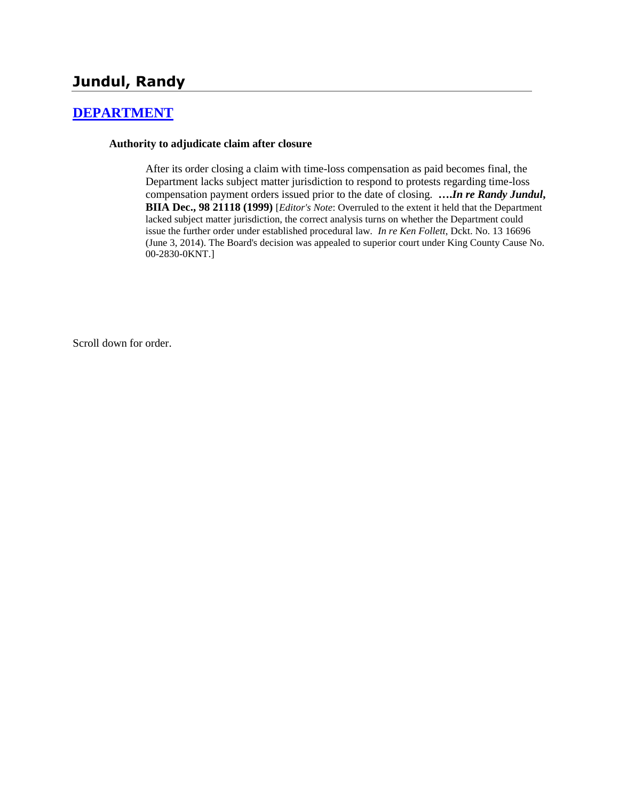# **Jundul, Randy**

## **[DEPARTMENT](http://www.biia.wa.gov/SDSubjectIndex.html#DEPARTMENT)**

### **Authority to adjudicate claim after closure**

After its order closing a claim with time-loss compensation as paid becomes final, the Department lacks subject matter jurisdiction to respond to protests regarding time-loss compensation payment orders issued prior to the date of closing. **….***In re Randy Jundul***, BIIA Dec., 98 21118 (1999)** [*Editor's Note*: Overruled to the extent it held that the Department lacked subject matter jurisdiction, the correct analysis turns on whether the Department could issue the further order under established procedural law. *In re Ken Follett*, Dckt. No. 13 16696 (June 3, 2014). The Board's decision was appealed to superior court under King County Cause No. 00-2830-0KNT.]

Scroll down for order.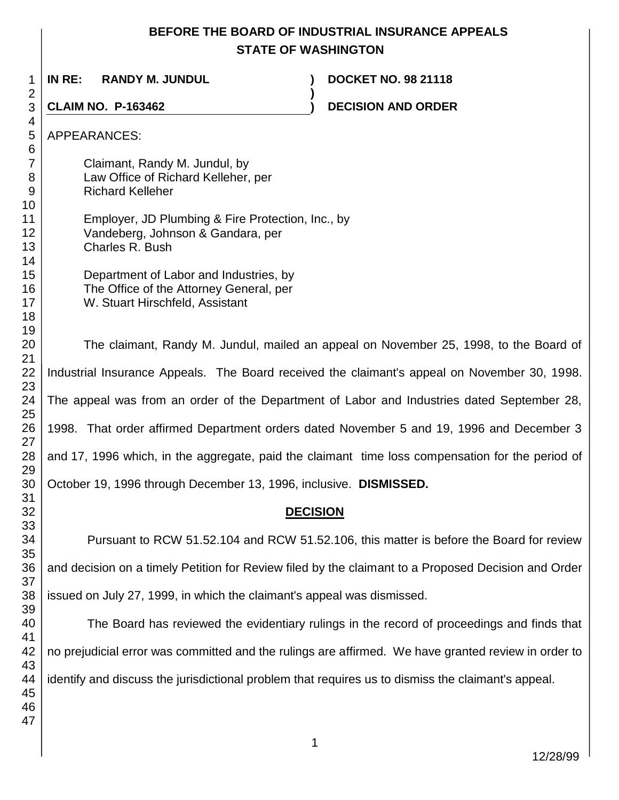## **BEFORE THE BOARD OF INDUSTRIAL INSURANCE APPEALS STATE OF WASHINGTON**

**)**

**IN RE: RANDY M. JUNDUL ) DOCKET NO. 98 21118**

**CLAIM NO. P-163462 ) DECISION AND ORDER** 

APPEARANCES: Claimant, Randy M. Jundul, by Law Office of Richard Kelleher, per Richard Kelleher Employer, JD Plumbing & Fire Protection, Inc., by Vandeberg, Johnson & Gandara, per Charles R. Bush Department of Labor and Industries, by The Office of the Attorney General, per W. Stuart Hirschfeld, Assistant The claimant, Randy M. Jundul, mailed an appeal on November 25, 1998, to the Board of Industrial Insurance Appeals. The Board received the claimant's appeal on November 30, 1998. The appeal was from an order of the Department of Labor and Industries dated September 28, 1998. That order affirmed Department orders dated November 5 and 19, 1996 and December 3 and 17, 1996 which, in the aggregate, paid the claimant time loss compensation for the period of October 19, 1996 through December 13, 1996, inclusive. **DISMISSED. DECISION** Pursuant to RCW 51.52.104 and RCW 51.52.106, this matter is before the Board for review and decision on a timely Petition for Review filed by the claimant to a Proposed Decision and Order

issued on July 27, 1999, in which the claimant's appeal was dismissed.

The Board has reviewed the evidentiary rulings in the record of proceedings and finds that no prejudicial error was committed and the rulings are affirmed. We have granted review in order to identify and discuss the jurisdictional problem that requires us to dismiss the claimant's appeal.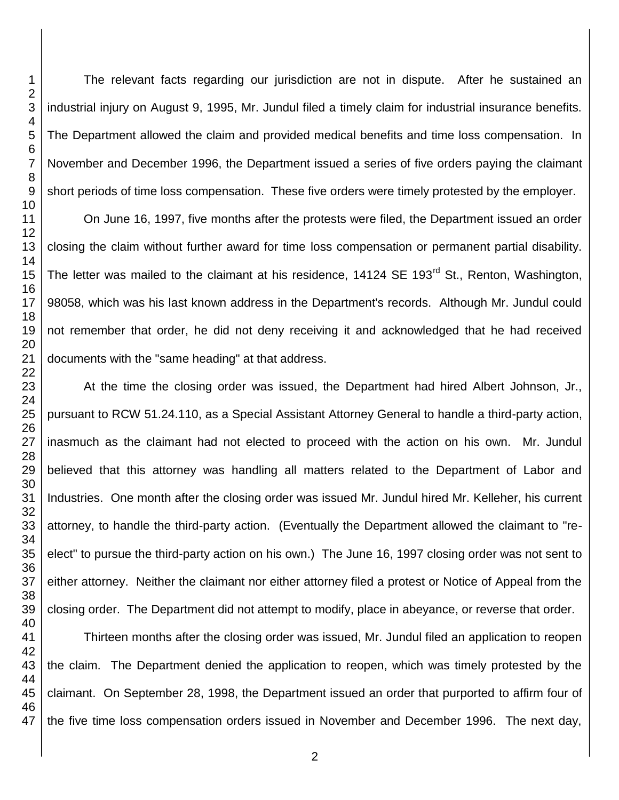The relevant facts regarding our jurisdiction are not in dispute. After he sustained an industrial injury on August 9, 1995, Mr. Jundul filed a timely claim for industrial insurance benefits. The Department allowed the claim and provided medical benefits and time loss compensation. In November and December 1996, the Department issued a series of five orders paying the claimant short periods of time loss compensation. These five orders were timely protested by the employer.

On June 16, 1997, five months after the protests were filed, the Department issued an order closing the claim without further award for time loss compensation or permanent partial disability. The letter was mailed to the claimant at his residence, 14124 SE 193<sup>rd</sup> St., Renton, Washington, 98058, which was his last known address in the Department's records. Although Mr. Jundul could not remember that order, he did not deny receiving it and acknowledged that he had received documents with the "same heading" at that address.

At the time the closing order was issued, the Department had hired Albert Johnson, Jr., pursuant to RCW 51.24.110, as a Special Assistant Attorney General to handle a third-party action, inasmuch as the claimant had not elected to proceed with the action on his own. Mr. Jundul believed that this attorney was handling all matters related to the Department of Labor and Industries. One month after the closing order was issued Mr. Jundul hired Mr. Kelleher, his current attorney, to handle the third-party action. (Eventually the Department allowed the claimant to "reelect" to pursue the third-party action on his own.) The June 16, 1997 closing order was not sent to either attorney. Neither the claimant nor either attorney filed a protest or Notice of Appeal from the closing order. The Department did not attempt to modify, place in abeyance, or reverse that order.

Thirteen months after the closing order was issued, Mr. Jundul filed an application to reopen the claim. The Department denied the application to reopen, which was timely protested by the claimant. On September 28, 1998, the Department issued an order that purported to affirm four of the five time loss compensation orders issued in November and December 1996. The next day,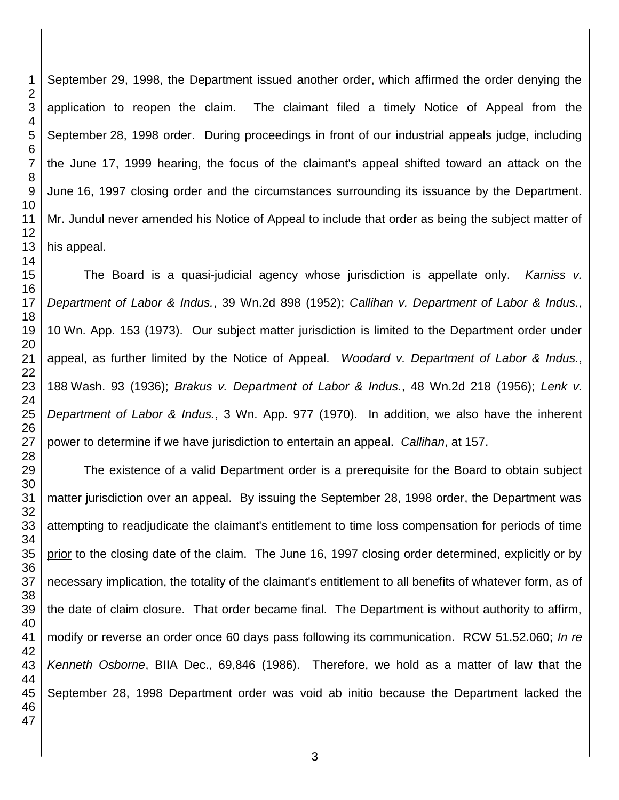September 29, 1998, the Department issued another order, which affirmed the order denying the application to reopen the claim. The claimant filed a timely Notice of Appeal from the September 28, 1998 order. During proceedings in front of our industrial appeals judge, including the June 17, 1999 hearing, the focus of the claimant's appeal shifted toward an attack on the June 16, 1997 closing order and the circumstances surrounding its issuance by the Department. Mr. Jundul never amended his Notice of Appeal to include that order as being the subject matter of his appeal.

The Board is a quasi-judicial agency whose jurisdiction is appellate only. *Karniss v. Department of Labor & Indus.*, 39 Wn.2d 898 (1952); *Callihan v. Department of Labor & Indus.*, Wn. App. 153 (1973). Our subject matter jurisdiction is limited to the Department order under appeal, as further limited by the Notice of Appeal. *Woodard v. Department of Labor & Indus.*, Wash. 93 (1936); *Brakus v. Department of Labor & Indus.*, 48 Wn.2d 218 (1956); *Lenk v. Department of Labor & Indus.*, 3 Wn. App. 977 (1970). In addition, we also have the inherent power to determine if we have jurisdiction to entertain an appeal. *Callihan*, at 157.

The existence of a valid Department order is a prerequisite for the Board to obtain subject matter jurisdiction over an appeal. By issuing the September 28, 1998 order, the Department was attempting to readjudicate the claimant's entitlement to time loss compensation for periods of time prior to the closing date of the claim. The June 16, 1997 closing order determined, explicitly or by necessary implication, the totality of the claimant's entitlement to all benefits of whatever form, as of the date of claim closure. That order became final. The Department is without authority to affirm, modify or reverse an order once 60 days pass following its communication. RCW 51.52.060; *In re Kenneth Osborne*, BIIA Dec., 69,846 (1986). Therefore, we hold as a matter of law that the September 28, 1998 Department order was void ab initio because the Department lacked the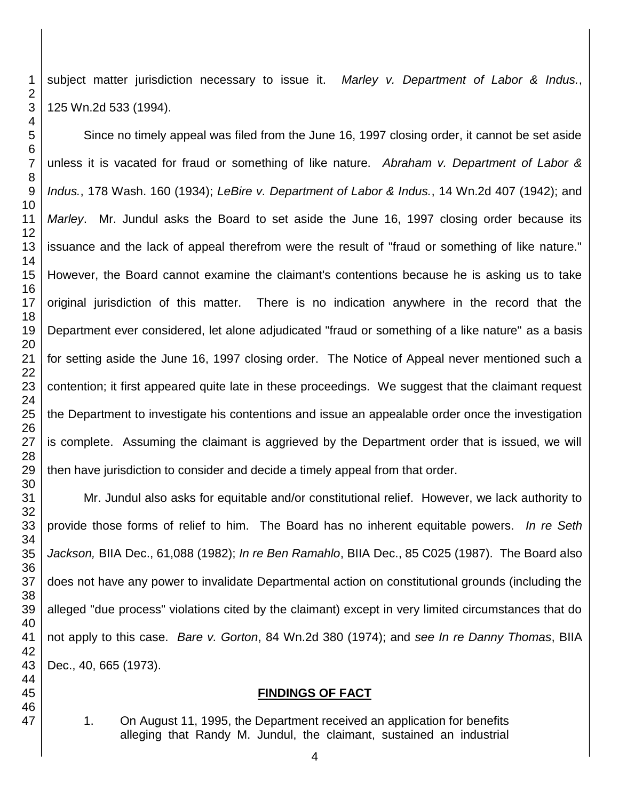subject matter jurisdiction necessary to issue it. *Marley v. Department of Labor & Indus.*, Wn.2d 533 (1994).

Since no timely appeal was filed from the June 16, 1997 closing order, it cannot be set aside unless it is vacated for fraud or something of like nature. *Abraham v. Department of Labor & Indus.*, 178 Wash. 160 (1934); *LeBire v. Department of Labor & Indus.*, 14 Wn.2d 407 (1942); and *Marley*. Mr. Jundul asks the Board to set aside the June 16, 1997 closing order because its issuance and the lack of appeal therefrom were the result of "fraud or something of like nature." However, the Board cannot examine the claimant's contentions because he is asking us to take original jurisdiction of this matter. There is no indication anywhere in the record that the Department ever considered, let alone adjudicated "fraud or something of a like nature" as a basis for setting aside the June 16, 1997 closing order. The Notice of Appeal never mentioned such a contention; it first appeared quite late in these proceedings. We suggest that the claimant request the Department to investigate his contentions and issue an appealable order once the investigation is complete. Assuming the claimant is aggrieved by the Department order that is issued, we will then have jurisdiction to consider and decide a timely appeal from that order.

Mr. Jundul also asks for equitable and/or constitutional relief. However, we lack authority to provide those forms of relief to him. The Board has no inherent equitable powers. *In re Seth Jackson,* BIIA Dec., 61,088 (1982); *In re Ben Ramahlo*, BIIA Dec., 85 C025 (1987). The Board also does not have any power to invalidate Departmental action on constitutional grounds (including the alleged "due process" violations cited by the claimant) except in very limited circumstances that do not apply to this case. *Bare v. Gorton*, 84 Wn.2d 380 (1974); and *see In re Danny Thomas*, BIIA Dec., 40, 665 (1973).

## **FINDINGS OF FACT**

1. On August 11, 1995, the Department received an application for benefits alleging that Randy M. Jundul, the claimant, sustained an industrial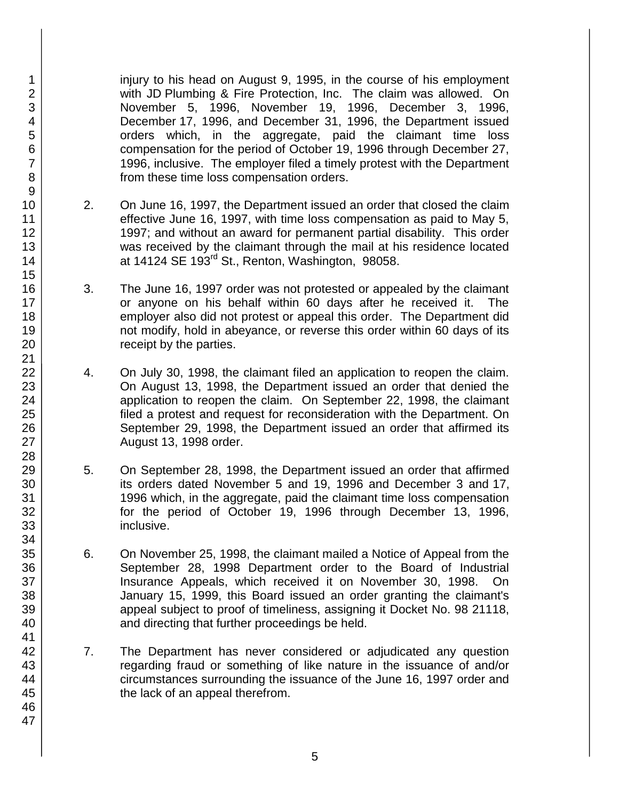injury to his head on August 9, 1995, in the course of his employment with JD Plumbing & Fire Protection, Inc. The claim was allowed. On November 5, 1996, November 19, 1996, December 3, 1996, December 17, 1996, and December 31, 1996, the Department issued orders which, in the aggregate, paid the claimant time loss compensation for the period of October 19, 1996 through December 27, 1996, inclusive. The employer filed a timely protest with the Department from these time loss compensation orders.

- 2. On June 16, 1997, the Department issued an order that closed the claim effective June 16, 1997, with time loss compensation as paid to May 5, 1997; and without an award for permanent partial disability. This order was received by the claimant through the mail at his residence located at 14124 SE  $193^{rd}$  St., Renton, Washington, 98058.
- 3. The June 16, 1997 order was not protested or appealed by the claimant or anyone on his behalf within 60 days after he received it. The employer also did not protest or appeal this order. The Department did not modify, hold in abeyance, or reverse this order within 60 days of its receipt by the parties.
- 4. On July 30, 1998, the claimant filed an application to reopen the claim. On August 13, 1998, the Department issued an order that denied the application to reopen the claim. On September 22, 1998, the claimant filed a protest and request for reconsideration with the Department. On September 29, 1998, the Department issued an order that affirmed its August 13, 1998 order.
- 5. On September 28, 1998, the Department issued an order that affirmed its orders dated November 5 and 19, 1996 and December 3 and 17, 1996 which, in the aggregate, paid the claimant time loss compensation for the period of October 19, 1996 through December 13, 1996, inclusive.
- 6. On November 25, 1998, the claimant mailed a Notice of Appeal from the September 28, 1998 Department order to the Board of Industrial Insurance Appeals, which received it on November 30, 1998. On January 15, 1999, this Board issued an order granting the claimant's appeal subject to proof of timeliness, assigning it Docket No. 98 21118, and directing that further proceedings be held.
- 7. The Department has never considered or adjudicated any question regarding fraud or something of like nature in the issuance of and/or circumstances surrounding the issuance of the June 16, 1997 order and the lack of an appeal therefrom.